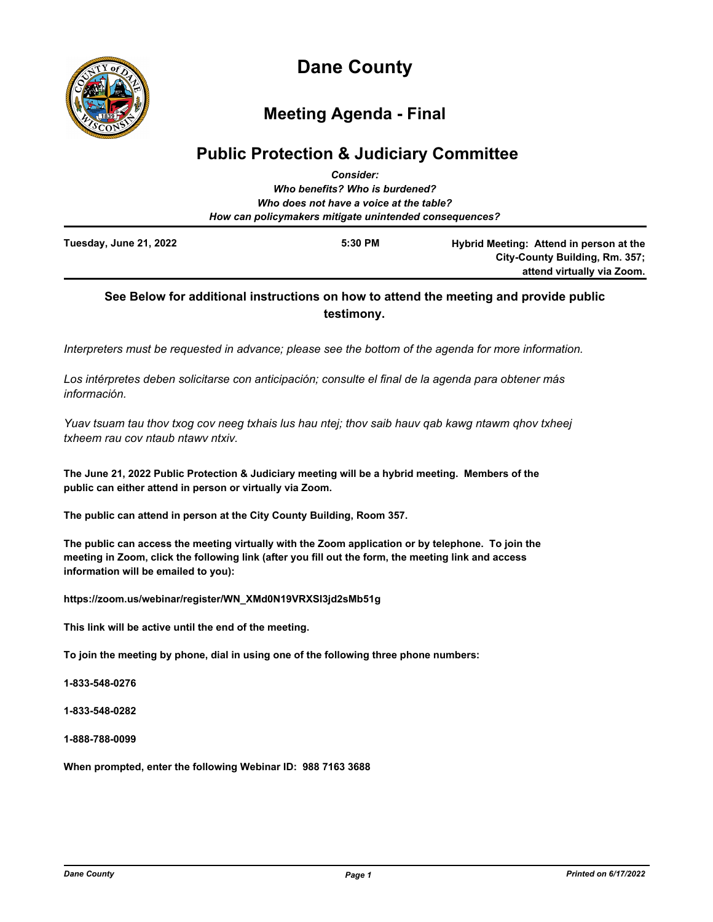

# **Dane County**

## **Meeting Agenda - Final**

## **Public Protection & Judiciary Committee** *Consider:*

|                                                        | GUNSIUCI.                      |                                         |  |  |
|--------------------------------------------------------|--------------------------------|-----------------------------------------|--|--|
|                                                        | Who benefits? Who is burdened? |                                         |  |  |
| Who does not have a voice at the table?                |                                |                                         |  |  |
| How can policymakers mitigate unintended consequences? |                                |                                         |  |  |
| Tuesday, June 21, 2022                                 | 5:30 PM                        | Hybrid Meeting: Attend in person at the |  |  |
|                                                        |                                | City-County Building, Rm. 357;          |  |  |
|                                                        |                                | attend virtually via Zoom.              |  |  |

## **See Below for additional instructions on how to attend the meeting and provide public testimony.**

*Interpreters must be requested in advance; please see the bottom of the agenda for more information.*

*Los intérpretes deben solicitarse con anticipación; consulte el final de la agenda para obtener más información.*

*Yuav tsuam tau thov txog cov neeg txhais lus hau ntej; thov saib hauv qab kawg ntawm qhov txheej txheem rau cov ntaub ntawv ntxiv.*

**The June 21, 2022 Public Protection & Judiciary meeting will be a hybrid meeting. Members of the public can either attend in person or virtually via Zoom.**

**The public can attend in person at the City County Building, Room 357.**

**The public can access the meeting virtually with the Zoom application or by telephone. To join the meeting in Zoom, click the following link (after you fill out the form, the meeting link and access information will be emailed to you):**

**https://zoom.us/webinar/register/WN\_XMd0N19VRXSI3jd2sMb51g**

**This link will be active until the end of the meeting.**

**To join the meeting by phone, dial in using one of the following three phone numbers:**

**1-833-548-0276**

**1-833-548-0282**

**1-888-788-0099**

**When prompted, enter the following Webinar ID: 988 7163 3688**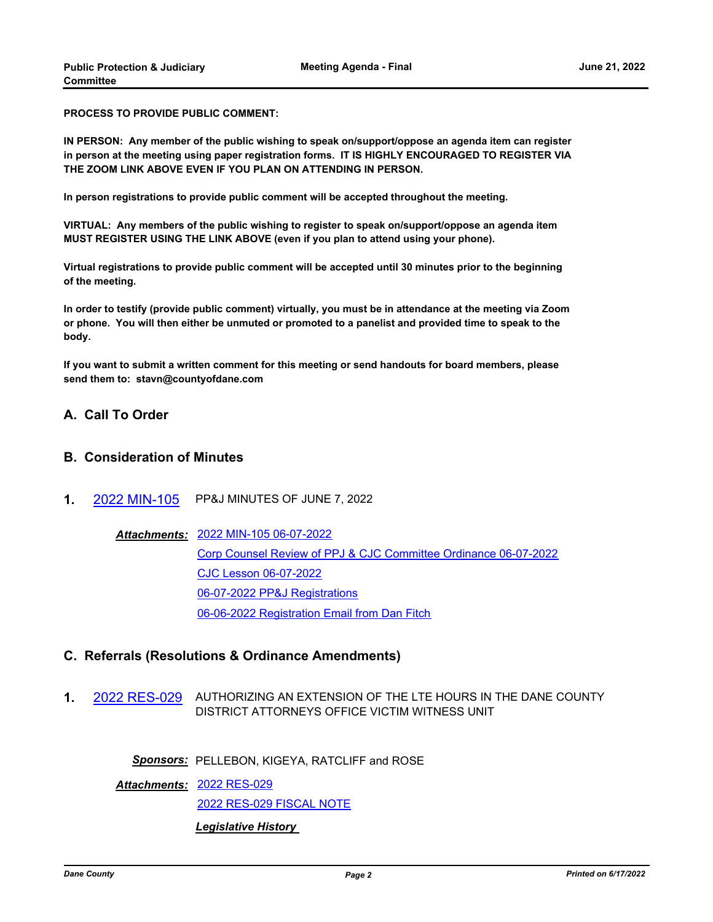**PROCESS TO PROVIDE PUBLIC COMMENT:**

**IN PERSON: Any member of the public wishing to speak on/support/oppose an agenda item can register in person at the meeting using paper registration forms. IT IS HIGHLY ENCOURAGED TO REGISTER VIA THE ZOOM LINK ABOVE EVEN IF YOU PLAN ON ATTENDING IN PERSON.**

**In person registrations to provide public comment will be accepted throughout the meeting.**

**VIRTUAL: Any members of the public wishing to register to speak on/support/oppose an agenda item MUST REGISTER USING THE LINK ABOVE (even if you plan to attend using your phone).**

**Virtual registrations to provide public comment will be accepted until 30 minutes prior to the beginning of the meeting.**

**In order to testify (provide public comment) virtually, you must be in attendance at the meeting via Zoom or phone. You will then either be unmuted or promoted to a panelist and provided time to speak to the body.**

**If you want to submit a written comment for this meeting or send handouts for board members, please send them to: stavn@countyofdane.com**

## **A. Call To Order**

## **B. Consideration of Minutes**

**1.** [2022 MIN-105](http://dane.legistar.com/gateway.aspx?m=l&id=/matter.aspx?key=23055) PP&J MINUTES OF JUNE 7, 2022

#### [2022 MIN-105 06-07-2022](http://dane.legistar.com/gateway.aspx?M=F&ID=48770f22-19a6-4134-9142-e86ee4241d4c.pdf) *Attachments:*

[Corp Counsel Review of PPJ & CJC Committee Ordinance 06-07-2022](http://dane.legistar.com/gateway.aspx?M=F&ID=ffdd5ec9-dcd8-4614-bce4-e6899980988d.pdf) [CJC Lesson 06-07-2022](http://dane.legistar.com/gateway.aspx?M=F&ID=ef635ee8-d0c6-4268-bb9f-faecff8f063e.pdf) [06-07-2022 PP&J Registrations](http://dane.legistar.com/gateway.aspx?M=F&ID=21c3412c-be75-4ff6-89eb-466b62afd823.pdf) [06-06-2022 Registration Email from Dan Fitch](http://dane.legistar.com/gateway.aspx?M=F&ID=6e5be6d4-a572-4d83-949f-00eff3c33f37.pdf)

## **C. Referrals (Resolutions & Ordinance Amendments)**

**1.** [2022 RES-029](http://dane.legistar.com/gateway.aspx?m=l&id=/matter.aspx?key=22848) AUTHORIZING AN EXTENSION OF THE LTE HOURS IN THE DANE COUNTY DISTRICT ATTORNEYS OFFICE VICTIM WITNESS UNIT

*Sponsors:* PELLEBON, KIGEYA, RATCLIFF and ROSE

[2022 RES-029](http://dane.legistar.com/gateway.aspx?M=F&ID=e494d09a-fff1-4386-a218-72dffc9886f8.pdf) *Attachments:*

[2022 RES-029 FISCAL NOTE](http://dane.legistar.com/gateway.aspx?M=F&ID=8fc0a0eb-d96b-49c6-ab39-1a796c43c5bb.pdf)

#### *Legislative History*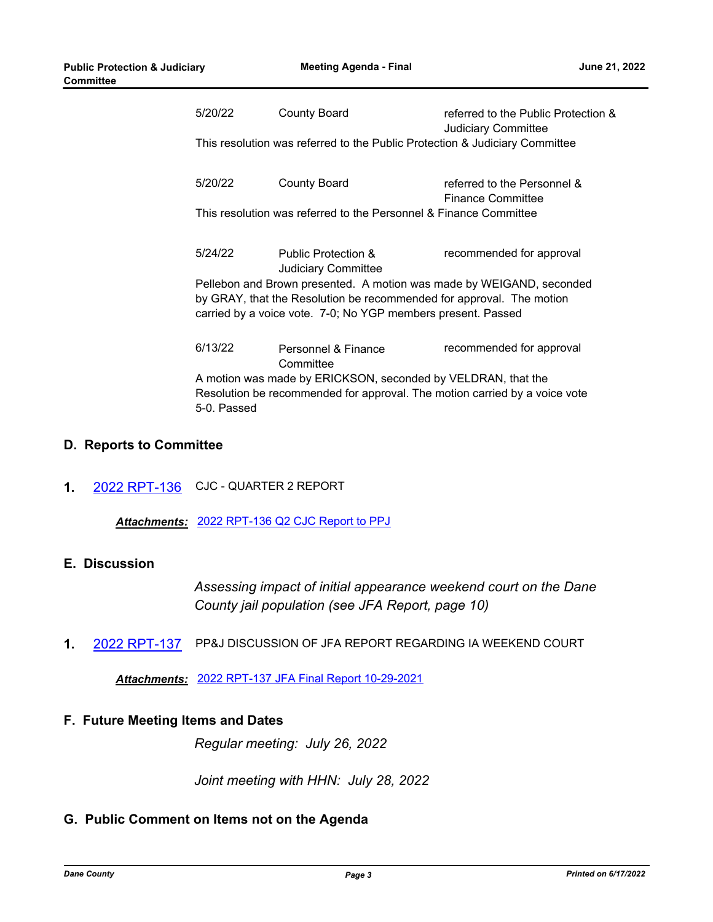| 5/20/22                                                                     | <b>County Board</b>                                          | referred to the Public Protection &<br><b>Judiciary Committee</b> |  |  |
|-----------------------------------------------------------------------------|--------------------------------------------------------------|-------------------------------------------------------------------|--|--|
| This resolution was referred to the Public Protection & Judiciary Committee |                                                              |                                                                   |  |  |
| 5/20/22                                                                     | County Board                                                 | referred to the Personnel &<br><b>Finance Committee</b>           |  |  |
| This resolution was referred to the Personnel & Finance Committee           |                                                              |                                                                   |  |  |
| 5/24/22                                                                     | <b>Public Protection &amp;</b><br><b>Judiciary Committee</b> | recommended for approval                                          |  |  |
| Pellebon and Brown presented. A motion was made by WEIGAND, seconded        |                                                              |                                                                   |  |  |
| by GRAY, that the Resolution be recommended for approval. The motion        |                                                              |                                                                   |  |  |
| carried by a voice vote. 7-0; No YGP members present. Passed                |                                                              |                                                                   |  |  |
| 6/13/22                                                                     | Personnel & Finance<br>Committee                             | recommended for approval                                          |  |  |
| A motion was made by ERICKSON, seconded by VELDRAN, that the                |                                                              |                                                                   |  |  |
| Resolution be recommended for approval. The motion carried by a voice vote  |                                                              |                                                                   |  |  |
| 5-0. Passed                                                                 |                                                              |                                                                   |  |  |

## **D. Reports to Committee**

**1.** [2022 RPT-136](http://dane.legistar.com/gateway.aspx?m=l&id=/matter.aspx?key=23114) CJC - QUARTER 2 REPORT

*Attachments:* [2022 RPT-136 Q2 CJC Report to PPJ](http://dane.legistar.com/gateway.aspx?M=F&ID=6f7832cb-1e8a-4dc4-a208-6a25abf9bed3.pdf)

## **E. Discussion**

*Assessing impact of initial appearance weekend court on the Dane County jail population (see JFA Report, page 10)*

**1.** [2022 RPT-137](http://dane.legistar.com/gateway.aspx?m=l&id=/matter.aspx?key=23121) PP&J DISCUSSION OF JFA REPORT REGARDING IA WEEKEND COURT

*Attachments:* [2022 RPT-137 JFA Final Report 10-29-2021](http://dane.legistar.com/gateway.aspx?M=F&ID=55fbf1ec-387e-4792-93b0-8f9bde1f6d4e.pdf)

## **F. Future Meeting Items and Dates**

*Regular meeting: July 26, 2022*

*Joint meeting with HHN: July 28, 2022*

## **G. Public Comment on Items not on the Agenda**